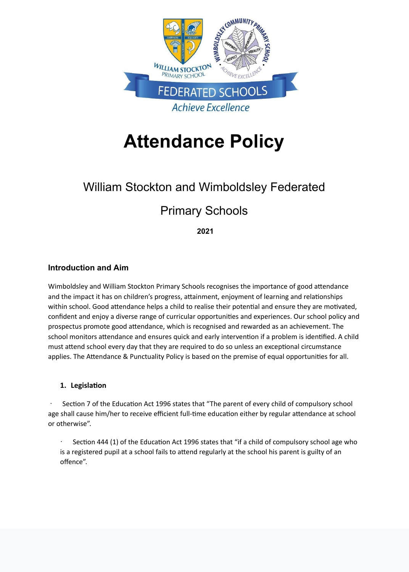

# **Attendance Policy**

# William Stockton and Wimboldsley Federated

# Primary Schools

 **2021**

# **Introduction and Aim**

Wimboldsley and William Stockton Primary Schools recognises the importance of good attendance and the impact it has on children's progress, attainment, enjoyment of learning and relationships within school. Good attendance helps a child to realise their potential and ensure they are motivated, confident and enjoy a diverse range of curricular opportunities and experiences. Our school policy and prospectus promote good attendance, which is recognised and rewarded as an achievement. The school monitors attendance and ensures quick and early intervention if a problem is identified. A child must attend school every day that they are required to do so unless an exceptional circumstance applies. The Attendance & Punctuality Policy is based on the premise of equal opportunities for all.

#### **1.** Legislation

Section 7 of the Education Act 1996 states that "The parent of every child of compulsory school age shall cause him/her to receive efficient full-time education either by regular attendance at school or otherwise".

Section 444 (1) of the Education Act 1996 states that "if a child of compulsory school age who

is a registered pupil at a school fails to attend regularly at the school his parent is guilty of an offence".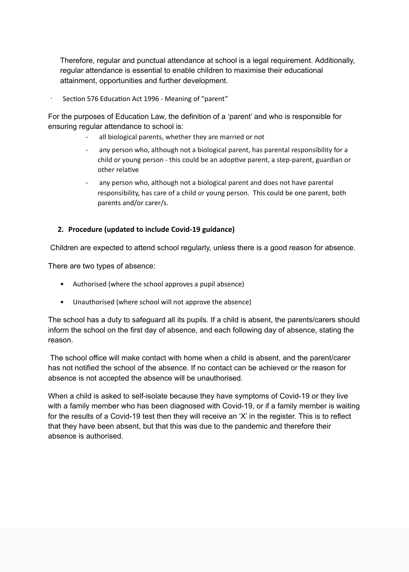Therefore, regular and punctual attendance at school is a legal requirement. Additionally, regular attendance is essential to enable children to maximise their educational attainment, opportunities and further development.

Section 576 Education Act 1996 - Meaning of "parent"

For the purposes of Education Law, the definition of a 'parent' and who is responsible for ensuring regular attendance to school is:

- all biological parents, whether they are married or not
- any person who, although not a biological parent, has parental responsibility for a child or young person - this could be an adoptive parent, a step-parent, guardian or other relative
- any person who, although not a biological parent and does not have parental responsibility, has care of a child or young person. This could be one parent, both parents and/or carer/s.

#### **2. Procedure (updated to include Covid-19 guidance)**

Children are expected to attend school regularly, unless there is a good reason for absence.

There are two types of absence:

- Authorised (where the school approves a pupil absence)
- Unauthorised (where school will not approve the absence)

The school has a duty to safeguard all its pupils. If a child is absent, the parents/carers should inform the school on the first day of absence, and each following day of absence, stating the reason.

 The school office will make contact with home when a child is absent, and the parent/carer has not notified the school of the absence. If no contact can be achieved or the reason for absence is not accepted the absence will be unauthorised.

When a child is asked to self-isolate because they have symptoms of Covid-19 or they live with a family member who has been diagnosed with Covid-19, or if a family member is waiting for the results of a Covid-19 test then they will receive an 'X' in the register. This is to reflect that they have been absent, but that this was due to the pandemic and therefore their absence is authorised.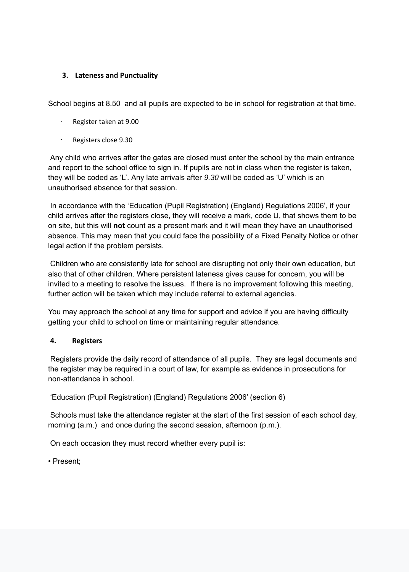#### **3.** Lateness and Punctuality

School begins at 8.50 and all pupils are expected to be in school for registration at that time.

- Register taken at 9.00
- Registers close 9.30

 Any child who arrives after the gates are closed must enter the school by the main entrance and report to the school office to sign in. If pupils are not in class when the register is taken, they will be coded as 'L'. Any late arrivals after *9.30* will be coded as 'U' which is an unauthorised absence for that session.

 In accordance with the 'Education (Pupil Registration) (England) Regulations 2006', if your child arrives after the registers close, they will receive a mark, code U, that shows them to be on site, but this will **not** count as a present mark and it will mean they have an unauthorised absence. This may mean that you could face the possibility of a Fixed Penalty Notice or other legal action if the problem persists.

 Schools must take the attendance register at the start of the first session of each school day, morning (a.m.) and once during the second session, afternoon (p.m.).

 Children who are consistently late for school are disrupting not only their own education, but also that of other children. Where persistent lateness gives cause for concern, you will be invited to a meeting to resolve the issues. If there is no improvement following this meeting, further action will be taken which may include referral to external agencies.

You may approach the school at any time for support and advice if you are having difficulty getting your child to school on time or maintaining regular attendance.

#### **4. Registers**

Registers provide the daily record of attendance of all pupils. They are legal documents and the register may be required in a court of law, for example as evidence in prosecutions for non-attendance in school.

'Education (Pupil Registration) (England) Regulations 2006' (section 6)

On each occasion they must record whether every pupil is:

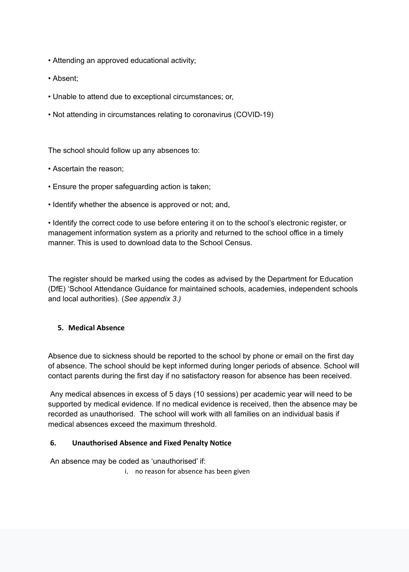- Attending an approved educational activity;
- Absent;
- Unable to attend due to exceptional circumstances; or,
- Not attending in circumstances relating to coronavirus (COVID-19)

The school should follow up any absences to:

- Ascertain the reason;
- Ensure the proper safeguarding action is taken;
- Identify whether the absence is approved or not; and,

• Identify the correct code to use before entering it on to the school's electronic register, or management information system as a priority and returned to the school office in a timely manner. This is used to download data to the School Census.

The register should be marked using the codes as advised by the Department for Education (DfE) 'School Attendance Guidance for maintained schools, academies, independent schools and local authorities). (*See appendix 3.)*

#### **5. Medical Absence**

Absence due to sickness should be reported to the school by phone or email on the first day of absence. The school should be kept informed during longer periods of absence. School will contact parents during the first day if no satisfactory reason for absence has been received.

 Any medical absences in excess of 5 days (10 sessions) per academic year will need to be supported by medical evidence. If no medical evidence is received, then the absence may be recorded as unauthorised. The school will work with all families on an individual basis if medical absences exceed the maximum threshold.

#### **6.** Unauthorised Absence and Fixed Penalty Notice

#### An absence may be coded as 'unauthorised' if:

i. no reason for absence has been given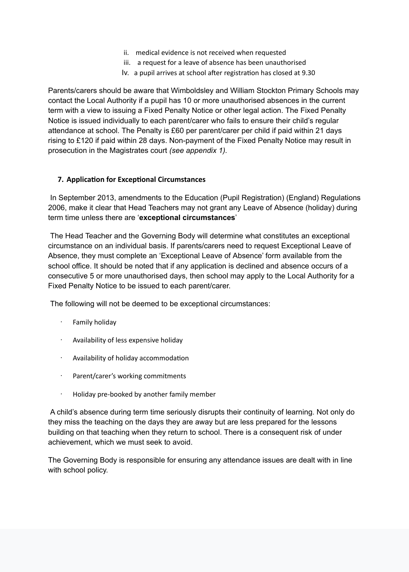- ii. medical evidence is not received when requested
- iii. a request for a leave of absence has been unauthorised
- Iv. a pupil arrives at school after registration has closed at 9.30

Parents/carers should be aware that Wimboldsley and William Stockton Primary Schools may contact the Local Authority if a pupil has 10 or more unauthorised absences in the current term with a view to issuing a Fixed Penalty Notice or other legal action. The Fixed Penalty Notice is issued individually to each parent/carer who fails to ensure their child's regular attendance at school. The Penalty is £60 per parent/carer per child if paid within 21 days rising to £120 if paid within 28 days. Non-payment of the Fixed Penalty Notice may result in prosecution in the Magistrates court *(see appendix 1).*

# **7. Application for Exceptional Circumstances**

 In September 2013, amendments to the Education (Pupil Registration) (England) Regulations 2006, make it clear that Head Teachers may not grant any Leave of Absence (holiday) during term time unless there are '**exceptional circumstances**'

 The Head Teacher and the Governing Body will determine what constitutes an exceptional circumstance on an individual basis. If parents/carers need to request Exceptional Leave of Absence, they must complete an 'Exceptional Leave of Absence' form available from the school office. It should be noted that if any application is declined and absence occurs of a consecutive 5 or more unauthorised days, then school may apply to the Local Authority for a Fixed Penalty Notice to be issued to each parent/carer.

The following will not be deemed to be exceptional circumstances:

- Family holiday
- Availability of less expensive holiday
- Availability of holiday accommodation
- Parent/carer's working commitments
- Holiday pre-booked by another family member

 A child's absence during term time seriously disrupts their continuity of learning. Not only do they miss the teaching on the days they are away but are less prepared for the lessons building on that teaching when they return to school. There is a consequent risk of under achievement, which we must seek to avoid.

### The Governing Body is responsible for ensuring any attendance issues are dealt with in line with school policy.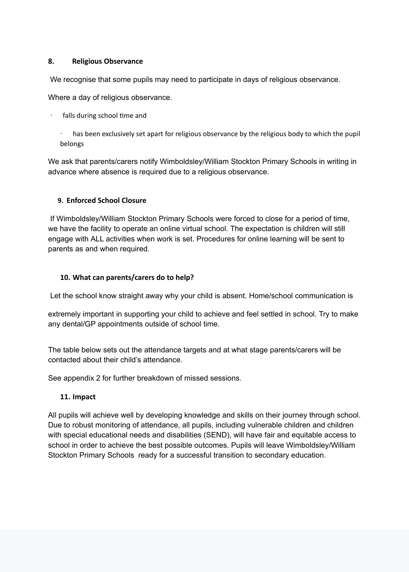#### **8. Religious Observance**

We recognise that some pupils may need to participate in days of religious observance.

Where a day of religious observance.

- falls during school time and
	- has been exclusively set apart for religious observance by the religious body to which the pupil belongs

We ask that parents/carers notify Wimboldsley/William Stockton Primary Schools in writing in advance where absence is required due to a religious observance.

#### **9. Enforced School Closure**

 If Wimboldsley/William Stockton Primary Schools were forced to close for a period of time, we have the facility to operate an online virtual school. The expectation is children will still engage with ALL activities when work is set. Procedures for online learning will be sent to parents as and when required.

#### **10.** What can parents/carers do to help?

Let the school know straight away why your child is absent. Home/school communication is

extremely important in supporting your child to achieve and feel settled in school. Try to make any dental/GP appointments outside of school time.

The table below sets out the attendance targets and at what stage parents/carers will be contacted about their child's attendance.

See appendix 2 for further breakdown of missed sessions.

#### **11. Impact**

All pupils will achieve well by developing knowledge and skills on their journey through school. Due to robust monitoring of attendance, all pupils, including vulnerable children and children with special educational needs and disabilities (SEND), will have fair and equitable access to school in order to achieve the best possible outcomes. Pupils will leave Wimboldsley/William

#### Stockton Primary Schools ready for a successful transition to secondary education.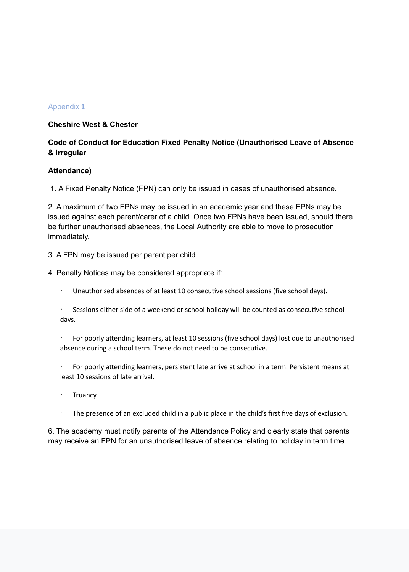#### Appendix 1

#### **Cheshire West & Chester**

### **Code of Conduct for Education Fixed Penalty Notice (Unauthorised Leave of Absence & Irregular**

#### **Attendance)**

1. A Fixed Penalty Notice (FPN) can only be issued in cases of unauthorised absence.

2. A maximum of two FPNs may be issued in an academic year and these FPNs may be issued against each parent/carer of a child. Once two FPNs have been issued, should there be further unauthorised absences, the Local Authority are able to move to prosecution immediately.

3. A FPN may be issued per parent per child.

4. Penalty Notices may be considered appropriate if:

- Unauthorised absences of at least 10 consecutive school sessions (five school days).
- $\cdot$  Sessions either side of a weekend or school holiday will be counted as consecutive school days.
- For poorly attending learners, at least 10 sessions (five school days) lost due to unauthorised absence during a school term. These do not need to be consecutive.
- For poorly attending learners, persistent late arrive at school in a term. Persistent means at least 10 sessions of late arrival.
- **Truancy**
- $\cdot$  The presence of an excluded child in a public place in the child's first five days of exclusion.

6. The academy must notify parents of the Attendance Policy and clearly state that parents may receive an FPN for an unauthorised leave of absence relating to holiday in term time.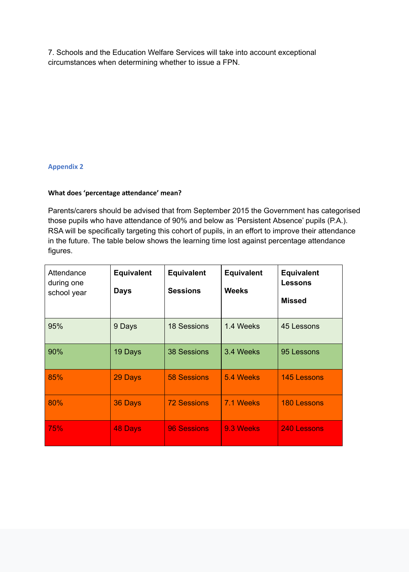7. Schools and the Education Welfare Services will take into account exceptional circumstances when determining whether to issue a FPN.

#### **Appendix 2**

# **What does 'percentage attendance' mean?**

Parents/carers should be advised that from September 2015 the Government has categorised those pupils who have attendance of 90% and below as 'Persistent Absence' pupils (P.A.). RSA will be specifically targeting this cohort of pupils, in an effort to improve their attendance in the future. The table below shows the learning time lost against percentage attendance figures.

| Attendance<br>during one<br>school year | <b>Equivalent</b><br><b>Days</b> | <b>Equivalent</b><br><b>Sessions</b> | <b>Equivalent</b><br><b>Weeks</b> | <b>Equivalent</b><br><b>Lessons</b><br><b>Missed</b> |
|-----------------------------------------|----------------------------------|--------------------------------------|-----------------------------------|------------------------------------------------------|
| 95%                                     | 9 Days                           | <b>18 Sessions</b>                   | 1.4 Weeks                         | 45 Lessons                                           |
| 90%                                     | 19 Days                          | <b>38 Sessions</b>                   | 3.4 Weeks                         | 95 Lessons                                           |
| 85%                                     | 29 Days                          | <b>58 Sessions</b>                   | 5.4 Weeks                         | <b>145 Lessons</b>                                   |
| 80%                                     | 36 Days                          | <b>72 Sessions</b>                   | 7.1 Weeks                         | <b>180 Lessons</b>                                   |
| 75%                                     | <b>48 Days</b>                   | <b>96 Sessions</b>                   | 9.3 Weeks                         | 240 Lessons                                          |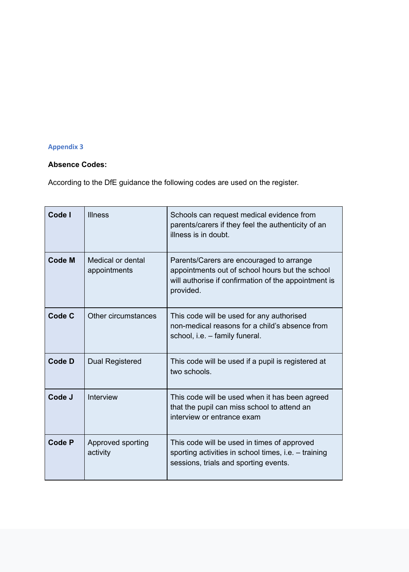# **Appendix 3**

# **Absence Codes:**

According to the DfE guidance the following codes are used on the register.

| Code I        | <b>Illness</b>                    | Schools can request medical evidence from<br>parents/carers if they feel the authenticity of an<br>illness is in doubt.                                          |
|---------------|-----------------------------------|------------------------------------------------------------------------------------------------------------------------------------------------------------------|
| <b>Code M</b> | Medical or dental<br>appointments | Parents/Carers are encouraged to arrange<br>appointments out of school hours but the school<br>will authorise if confirmation of the appointment is<br>provided. |
| <b>Code C</b> | Other circumstances               | This code will be used for any authorised<br>non-medical reasons for a child's absence from<br>school, i.e. – family funeral.                                    |
| <b>Code D</b> | Dual Registered                   | This code will be used if a pupil is registered at<br>two schools.                                                                                               |
| Code J        | <b>Interview</b>                  | This code will be used when it has been agreed<br>that the pupil can miss school to attend an<br>interview or entrance exam                                      |
| <b>Code P</b> | Approved sporting<br>activity     | This code will be used in times of approved<br>sporting activities in school times, i.e. $-$ training<br>sessions, trials and sporting events.                   |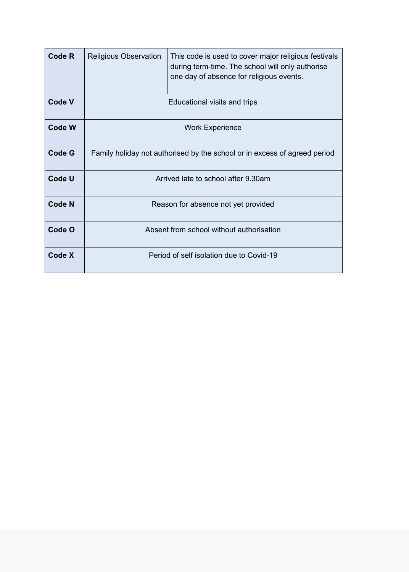| <b>Code R</b> | <b>Religious Observation</b>                                              | This code is used to cover major religious festivals<br>during term-time. The school will only authorise<br>one day of absence for religious events. |  |
|---------------|---------------------------------------------------------------------------|------------------------------------------------------------------------------------------------------------------------------------------------------|--|
| <b>Code V</b> | Educational visits and trips                                              |                                                                                                                                                      |  |
| <b>Code W</b> | <b>Work Experience</b>                                                    |                                                                                                                                                      |  |
| <b>Code G</b> | Family holiday not authorised by the school or in excess of agreed period |                                                                                                                                                      |  |
| <b>Code U</b> | Arrived late to school after 9.30am                                       |                                                                                                                                                      |  |
| <b>Code N</b> | Reason for absence not yet provided                                       |                                                                                                                                                      |  |
| Code O        | Absent from school without authorisation                                  |                                                                                                                                                      |  |
| <b>Code X</b> | Period of self isolation due to Covid-19                                  |                                                                                                                                                      |  |